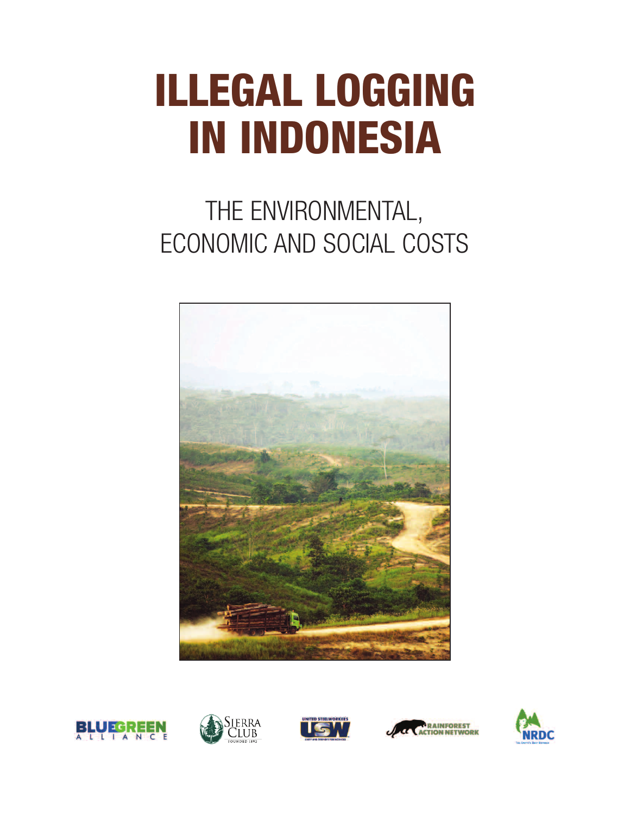# **ILLEGAL LOGGING IN INDONESIA**

# THE ENVIRONMENTAL, ECONOMIC AND SOCIAL COSTS











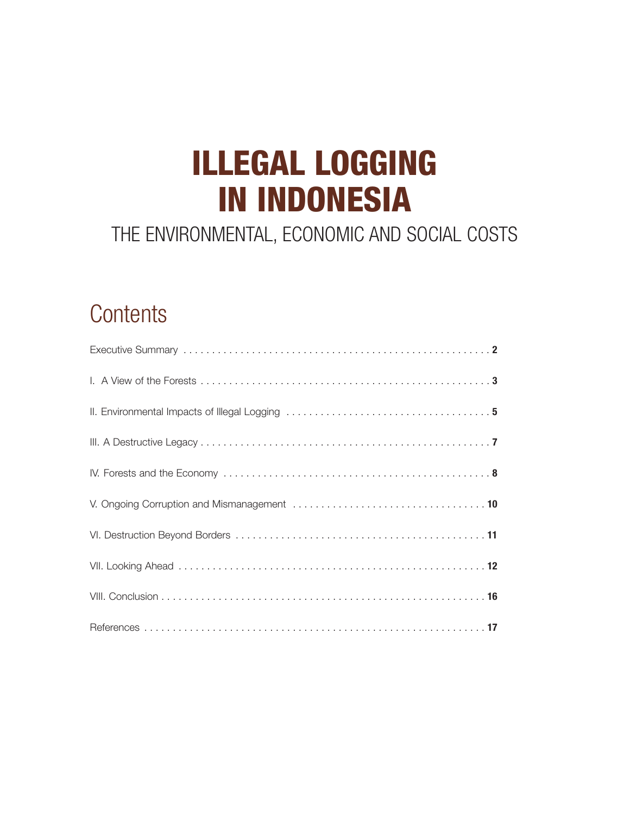# **ILLEGAL LOGGING IN INDONESIA**

## THE ENVIRONMENTAL, ECONOMIC AND SOCIAL COSTS

# **Contents**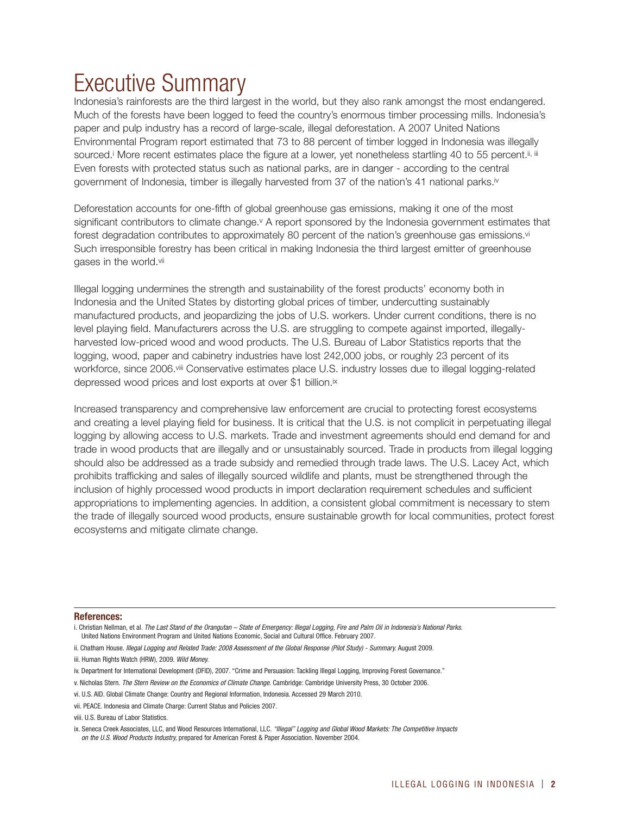# Executive Summary

Indonesia's rainforests are the third largest in the world, but they also rank amongst the most endangered. Much of the forests have been logged to feed the country's enormous timber processing mills. Indonesia's paper and pulp industry has a record of large-scale, illegal deforestation. A 2007 United Nations Environmental Program report estimated that 73 to 88 percent of timber logged in Indonesia was illegally sourced.<sup>j</sup> More recent estimates place the figure at a lower, yet nonetheless startling 40 to 55 percent.<sup>ii, iii</sup> Even forests with protected status such as national parks, are in danger - according to the central government of Indonesia, timber is illegally harvested from 37 of the nation's 41 national parks.iv

Deforestation accounts for one-fifth of global greenhouse gas emissions, making it one of the most significant contributors to climate change.<sup>v</sup> A report sponsored by the Indonesia government estimates that forest degradation contributes to approximately 80 percent of the nation's greenhouse gas emissions.<sup>vi</sup> Such irresponsible forestry has been critical in making Indonesia the third largest emitter of greenhouse gases in the world.vii

Illegal logging undermines the strength and sustainability of the forest products' economy both in Indonesia and the United States by distorting global prices of timber, undercutting sustainably manufactured products, and jeopardizing the jobs of U.S. workers. Under current conditions, there is no level playing field. Manufacturers across the U.S. are struggling to compete against imported, illegallyharvested low-priced wood and wood products. The U.S. Bureau of Labor Statistics reports that the logging, wood, paper and cabinetry industries have lost 242,000 jobs, or roughly 23 percent of its workforce, since 2006.viii Conservative estimates place U.S. industry losses due to illegal logging-related depressed wood prices and lost exports at over \$1 billion.ix

Increased transparency and comprehensive law enforcement are crucial to protecting forest ecosystems and creating a level playing field for business. It is critical that the U.S. is not complicit in perpetuating illegal logging by allowing access to U.S. markets. Trade and investment agreements should end demand for and trade in wood products that are illegally and or unsustainably sourced. Trade in products from illegal logging should also be addressed as a trade subsidy and remedied through trade laws. The U.S. Lacey Act, which prohibits trafficking and sales of illegally sourced wildlife and plants, must be strengthened through the inclusion of highly processed wood products in import declaration requirement schedules and sufficient appropriations to implementing agencies. In addition, a consistent global commitment is necessary to stem the trade of illegally sourced wood products, ensure sustainable growth for local communities, protect forest ecosystems and mitigate climate change.

### **References:**

- v. Nicholas Stern. *The Stern Review on the Economics of Climate Change.* Cambridge: Cambridge University Press, 30 October 2006.
- vi. U.S. AID. Global Climate Change: Country and Regional Information, Indonesia. Accessed 29 March 2010.
- vii. PEACE. Indonesia and Climate Charge: Current Status and Policies 2007.

i. Christian Nellman, et al. *The Last Stand of the Orangutan – State of Emergency: Illegal Logging, Fire and Palm Oil in Indonesia's National Parks.* United Nations Environment Program and United Nations Economic, Social and Cultural Office. February 2007.

ii. Chatham House. *Illegal Logging and Related Trade: 2008 Assessment of the Global Response (Pilot Study) - Summary.* August 2009.

iii. Human Rights Watch (HRW), 2009. *Wild Money.*

iv. Department for International Development (DFID), 2007. "Crime and Persuasion: Tackling Illegal Logging, Improving Forest Governance."

viii. U.S. Bureau of Labor Statistics.

ix. Seneca Creek Associates, LLC, and Wood Resources International, LLC. *"Illegal" Logging and Global Wood Markets: The Competitive Impacts on the U.S. Wood Products Industry,* prepared for American Forest & Paper Association. November 2004.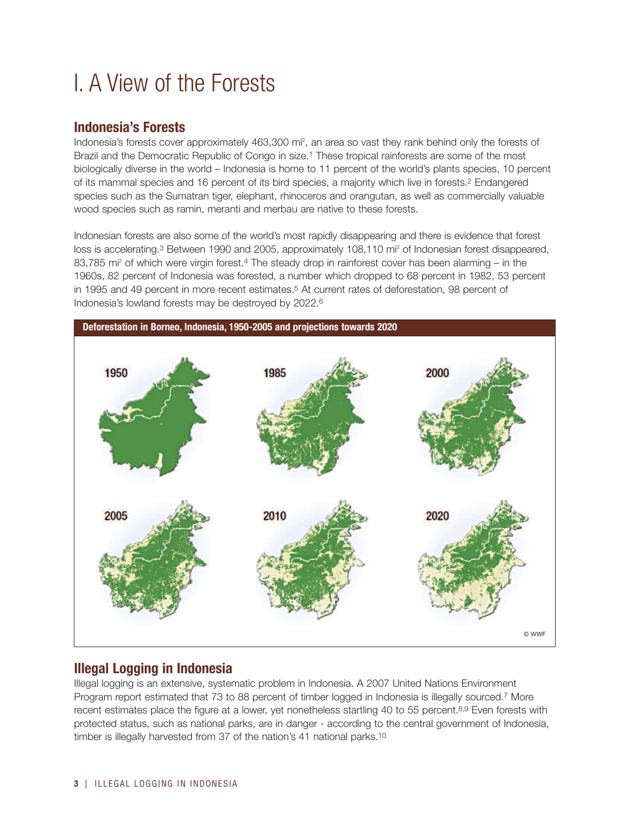# I. A View of the Forests

### **Indonesia's Forests**

Indonesia's forests cover approximately 463,300 mi<sup>2</sup>, an area so vast they rank behind only the forests of Brazil and the Democratic Republic of Congo in size.<sup>1</sup> These tropical rainforests are some of the most biologically diverse in the world – Indonesia is home to 11 percent of the world's plants species, 10 percent of its mammal species and 16 percent of its bird species, a majority which live in forests.2 Endangered species such as the Sumatran tiger, elephant, rhinoceros and orangutan, as well as commercially valuable wood species such as ramin, meranti and merbau are native to these forests.

Indonesian forests are also some of the world's most rapidly disappearing and there is evidence that forest loss is accelerating.<sup>3</sup> Between 1990 and 2005, approximately 108,110 mi<sup>2</sup> of Indonesian forest disappeared, 83,785 mi<sup>2</sup> of which were virgin forest.<sup>4</sup> The steady drop in rainforest cover has been alarming – in the 1960s, 82 percent of Indonesia was forested, a number which dropped to 68 percent in 1982, 53 percent in 1995 and 49 percent in more recent estimates.<sup>5</sup> At current rates of deforestation, 98 percent of Indonesia's lowland forests may be destroyed by 2022.6



### **Illegal Logging in Indonesia**

Illegal logging is an extensive, systematic problem in Indonesia. A 2007 United Nations Environment Program report estimated that 73 to 88 percent of timber logged in Indonesia is illegally sourced.7 More recent estimates place the figure at a lower, yet nonetheless startling 40 to 55 percent.8,9 Even forests with protected status, such as national parks, are in danger - according to the central government of Indonesia, timber is illegally harvested from 37 of the nation's 41 national parks.10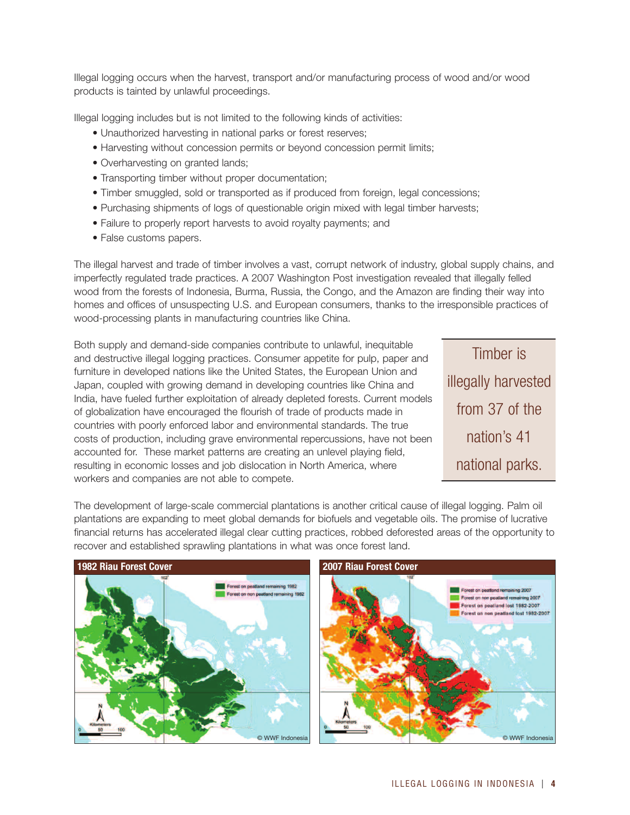Illegal logging occurs when the harvest, transport and/or manufacturing process of wood and/or wood products is tainted by unlawful proceedings.

Illegal logging includes but is not limited to the following kinds of activities:

- Unauthorized harvesting in national parks or forest reserves;
- Harvesting without concession permits or beyond concession permit limits;
- Overharvesting on granted lands;
- Transporting timber without proper documentation;
- Timber smuggled, sold or transported as if produced from foreign, legal concessions;
- Purchasing shipments of logs of questionable origin mixed with legal timber harvests;
- Failure to properly report harvests to avoid royalty payments; and
- False customs papers.

The illegal harvest and trade of timber involves a vast, corrupt network of industry, global supply chains, and imperfectly regulated trade practices. A 2007 Washington Post investigation revealed that illegally felled wood from the forests of Indonesia, Burma, Russia, the Congo, and the Amazon are finding their way into homes and offices of unsuspecting U.S. and European consumers, thanks to the irresponsible practices of wood-processing plants in manufacturing countries like China.

Both supply and demand-side companies contribute to unlawful, inequitable and destructive illegal logging practices. Consumer appetite for pulp, paper and furniture in developed nations like the United States, the European Union and Japan, coupled with growing demand in developing countries like China and India, have fueled further exploitation of already depleted forests. Current models of globalization have encouraged the flourish of trade of products made in countries with poorly enforced labor and environmental standards. The true costs of production, including grave environmental repercussions, have not been accounted for. These market patterns are creating an unlevel playing field, resulting in economic losses and job dislocation in North America, where workers and companies are not able to compete.

Timber is illegally harvested from 37 of the nation's 41 national parks.

The development of large-scale commercial plantations is another critical cause of illegal logging. Palm oil plantations are expanding to meet global demands for biofuels and vegetable oils. The promise of lucrative financial returns has accelerated illegal clear cutting practices, robbed deforested areas of the opportunity to recover and established sprawling plantations in what was once forest land.

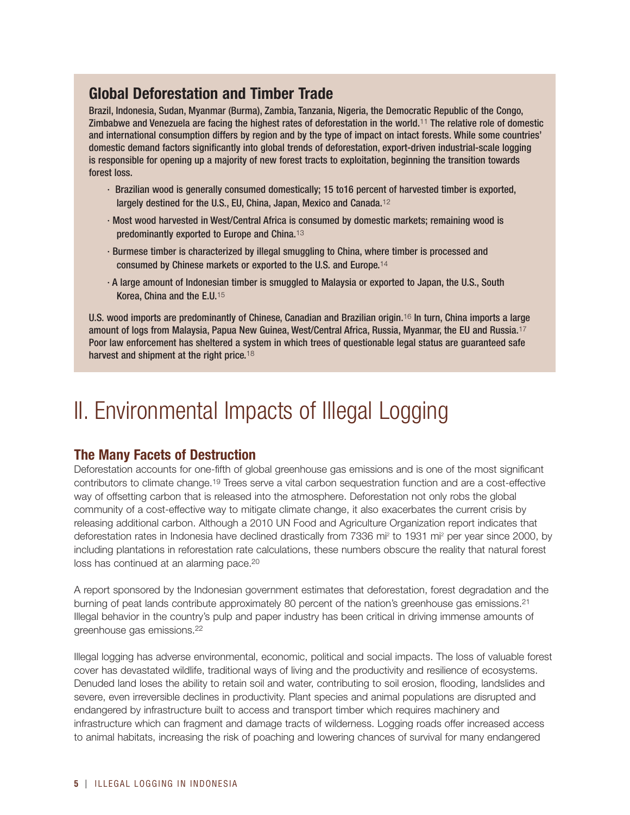### **Global Deforestation and Timber Trade**

Brazil, Indonesia, Sudan, Myanmar (Burma), Zambia, Tanzania, Nigeria, the Democratic Republic of the Congo, Zimbabwe and Venezuela are facing the highest rates of deforestation in the world.11 The relative role of domestic and international consumption differs by region and by the type of impact on intact forests. While some countries' domestic demand factors significantly into global trends of deforestation, export-driven industrial-scale logging is responsible for opening up a majority of new forest tracts to exploitation, beginning the transition towards forest loss.

- · Brazilian wood is generally consumed domestically; 15 to16 percent of harvested timber is exported, largely destined for the U.S., EU, China, Japan, Mexico and Canada.<sup>12</sup>
- · Most wood harvested in West/Central Africa is consumed by domestic markets; remaining wood is predominantly exported to Europe and China.<sup>13</sup>
- · Burmese timber is characterized by illegal smuggling to China, where timber is processed and consumed by Chinese markets or exported to the U.S. and Europe.<sup>14</sup>
- · A large amount of Indonesian timber is smuggled to Malaysia or exported to Japan, the U.S., South Korea, China and the E.U.<sup>15</sup>

U.S. wood imports are predominantly of Chinese, Canadian and Brazilian origin.16 In turn, China imports a large amount of logs from Malaysia, Papua New Guinea, West/Central Africa, Russia, Myanmar, the EU and Russia.<sup>17</sup> Poor law enforcement has sheltered a system in which trees of questionable legal status are guaranteed safe harvest and shipment at the right price.<sup>18</sup>

# II. Environmental Impacts of Illegal Logging

### **The Many Facets of Destruction**

Deforestation accounts for one-fifth of global greenhouse gas emissions and is one of the most significant contributors to climate change.19 Trees serve a vital carbon sequestration function and are a cost-effective way of offsetting carbon that is released into the atmosphere. Deforestation not only robs the global community of a cost-effective way to mitigate climate change, it also exacerbates the current crisis by releasing additional carbon. Although a 2010 UN Food and Agriculture Organization report indicates that deforestation rates in Indonesia have declined drastically from 7336 mi2 to 1931 mi2 per year since 2000, by including plantations in reforestation rate calculations, these numbers obscure the reality that natural forest loss has continued at an alarming pace.20

A report sponsored by the Indonesian government estimates that deforestation, forest degradation and the burning of peat lands contribute approximately 80 percent of the nation's greenhouse gas emissions.21 Illegal behavior in the country's pulp and paper industry has been critical in driving immense amounts of greenhouse gas emissions.22

Illegal logging has adverse environmental, economic, political and social impacts. The loss of valuable forest cover has devastated wildlife, traditional ways of living and the productivity and resilience of ecosystems. Denuded land loses the ability to retain soil and water, contributing to soil erosion, flooding, landslides and severe, even irreversible declines in productivity. Plant species and animal populations are disrupted and endangered by infrastructure built to access and transport timber which requires machinery and infrastructure which can fragment and damage tracts of wilderness. Logging roads offer increased access to animal habitats, increasing the risk of poaching and lowering chances of survival for many endangered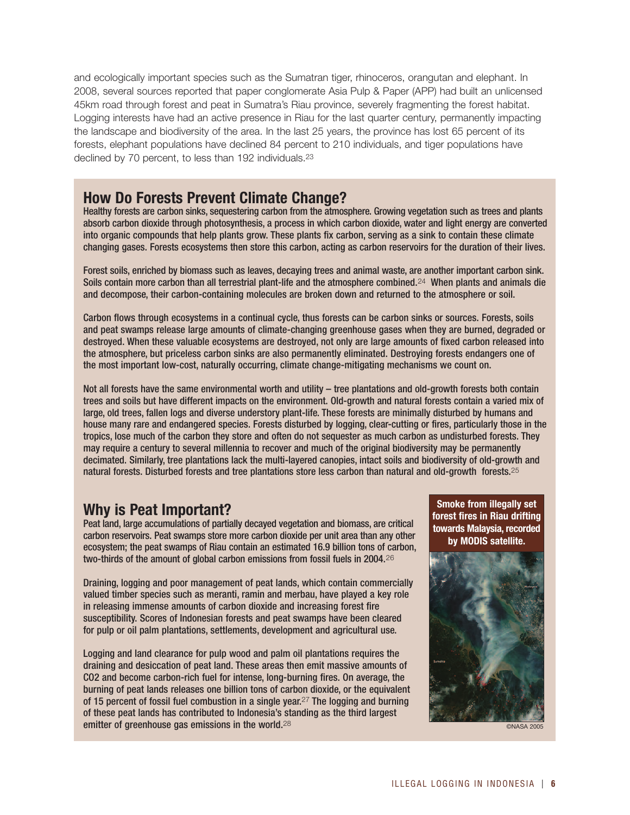and ecologically important species such as the Sumatran tiger, rhinoceros, orangutan and elephant. In 2008, several sources reported that paper conglomerate Asia Pulp & Paper (APP) had built an unlicensed 45km road through forest and peat in Sumatra's Riau province, severely fragmenting the forest habitat. Logging interests have had an active presence in Riau for the last quarter century, permanently impacting the landscape and biodiversity of the area. In the last 25 years, the province has lost 65 percent of its forests, elephant populations have declined 84 percent to 210 individuals, and tiger populations have declined by 70 percent, to less than 192 individuals.23

### **How Do Forests Prevent Climate Change?**

Healthy forests are carbon sinks, sequestering carbon from the atmosphere. Growing vegetation such as trees and plants absorb carbon dioxide through photosynthesis, a process in which carbon dioxide, water and light energy are converted into organic compounds that help plants grow. These plants fix carbon, serving as a sink to contain these climate changing gases. Forests ecosystems then store this carbon, acting as carbon reservoirs for the duration of their lives.

Forest soils, enriched by biomass such as leaves, decaying trees and animal waste, are another important carbon sink. Soils contain more carbon than all terrestrial plant-life and the atmosphere combined.<sup>24</sup> When plants and animals die and decompose, their carbon-containing molecules are broken down and returned to the atmosphere or soil.

Carbon flows through ecosystems in a continual cycle, thus forests can be carbon sinks or sources. Forests, soils and peat swamps release large amounts of climate-changing greenhouse gases when they are burned, degraded or destroyed. When these valuable ecosystems are destroyed, not only are large amounts of fixed carbon released into the atmosphere, but priceless carbon sinks are also permanently eliminated. Destroying forests endangers one of the most important low-cost, naturally occurring, climate change-mitigating mechanisms we count on.

Not all forests have the same environmental worth and utility – tree plantations and old-growth forests both contain trees and soils but have different impacts on the environment. Old-growth and natural forests contain a varied mix of large, old trees, fallen logs and diverse understory plant-life. These forests are minimally disturbed by humans and house many rare and endangered species. Forests disturbed by logging, clear-cutting or fires, particularly those in the tropics, lose much of the carbon they store and often do not sequester as much carbon as undisturbed forests. They may require a century to several millennia to recover and much of the original biodiversity may be permanently decimated. Similarly, tree plantations lack the multi-layered canopies, intact soils and biodiversity of old-growth and natural forests. Disturbed forests and tree plantations store less carbon than natural and old-growth forests.<sup>25</sup>

### **Why is Peat Important?**

Peat land, large accumulations of partially decayed vegetation and biomass, are critical carbon reservoirs. Peat swamps store more carbon dioxide per unit area than any other ecosystem; the peat swamps of Riau contain an estimated 16.9 billion tons of carbon, two-thirds of the amount of global carbon emissions from fossil fuels in 2004.<sup>26</sup>

Draining, logging and poor management of peat lands, which contain commercially valued timber species such as meranti, ramin and merbau, have played a key role in releasing immense amounts of carbon dioxide and increasing forest fire susceptibility. Scores of Indonesian forests and peat swamps have been cleared for pulp or oil palm plantations, settlements, development and agricultural use.

Logging and land clearance for pulp wood and palm oil plantations requires the draining and desiccation of peat land. These areas then emit massive amounts of CO2 and become carbon-rich fuel for intense, long-burning fires. On average, the burning of peat lands releases one billion tons of carbon dioxide, or the equivalent of 15 percent of fossil fuel combustion in a single year.<sup>27</sup> The logging and burning of these peat lands has contributed to Indonesia's standing as the third largest emitter of greenhouse gas emissions in the world.<sup>28</sup>

**Smoke from illegally set forest fires in Riau drifting towards Malaysia, recorded by MODIS satellite.**



©NASA 2005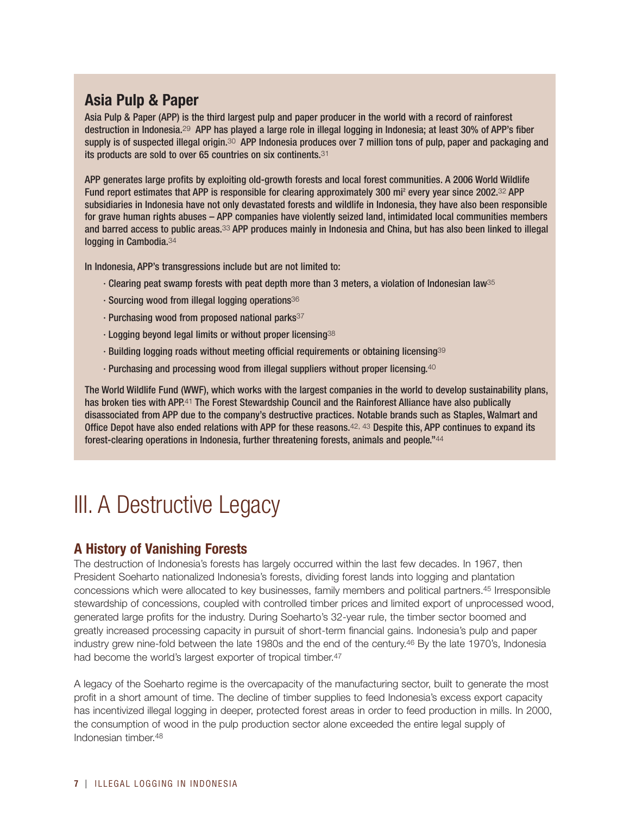### **Asia Pulp & Paper**

Asia Pulp & Paper (APP) is the third largest pulp and paper producer in the world with a record of rainforest destruction in Indonesia.29 APP has played a large role in illegal logging in Indonesia; at least 30% of APP's fiber supply is of suspected illegal origin.<sup>30</sup> APP Indonesia produces over 7 million tons of pulp, paper and packaging and its products are sold to over 65 countries on six continents.31

APP generates large profits by exploiting old-growth forests and local forest communities. A 2006 World Wildlife Fund report estimates that APP is responsible for clearing approximately 300 mi<sup>2</sup> every year since 2002.<sup>32</sup> APP subsidiaries in Indonesia have not only devastated forests and wildlife in Indonesia, they have also been responsible for grave human rights abuses – APP companies have violently seized land, intimidated local communities members and barred access to public areas.<sup>33</sup> APP produces mainly in Indonesia and China, but has also been linked to illegal logging in Cambodia.34

In Indonesia, APP's transgressions include but are not limited to:

- · Clearing peat swamp forests with peat depth more than 3 meters, a violation of Indonesian law35
- · Sourcing wood from illegal logging operations36
- $\cdot$  Purchasing wood from proposed national parks $^{37}$
- · Logging beyond legal limits or without proper licensing38
- · Building logging roads without meeting official requirements or obtaining licensing<sup>39</sup>
- · Purchasing and processing wood from illegal suppliers without proper licensing.<sup>40</sup>

The World Wildlife Fund (WWF), which works with the largest companies in the world to develop sustainability plans, has broken ties with APP.<sup>41</sup> The Forest Stewardship Council and the Rainforest Alliance have also publically disassociated from APP due to the company's destructive practices. Notable brands such as Staples, Walmart and Office Depot have also ended relations with APP for these reasons.<sup>42, 43</sup> Despite this, APP continues to expand its forest-clearing operations in Indonesia, further threatening forests, animals and people."<sup>44</sup>

# **III.** A Destructive Legacy

### **A History of Vanishing Forests**

The destruction of Indonesia's forests has largely occurred within the last few decades. In 1967, then President Soeharto nationalized Indonesia's forests, dividing forest lands into logging and plantation concessions which were allocated to key businesses, family members and political partners.45 Irresponsible stewardship of concessions, coupled with controlled timber prices and limited export of unprocessed wood, generated large profits for the industry. During Soeharto's 32-year rule, the timber sector boomed and greatly increased processing capacity in pursuit of short-term financial gains. Indonesia's pulp and paper industry grew nine-fold between the late 1980s and the end of the century.46 By the late 1970's, Indonesia had become the world's largest exporter of tropical timber.<sup>47</sup>

A legacy of the Soeharto regime is the overcapacity of the manufacturing sector, built to generate the most profit in a short amount of time. The decline of timber supplies to feed Indonesia's excess export capacity has incentivized illegal logging in deeper, protected forest areas in order to feed production in mills. In 2000, the consumption of wood in the pulp production sector alone exceeded the entire legal supply of Indonesian timber.48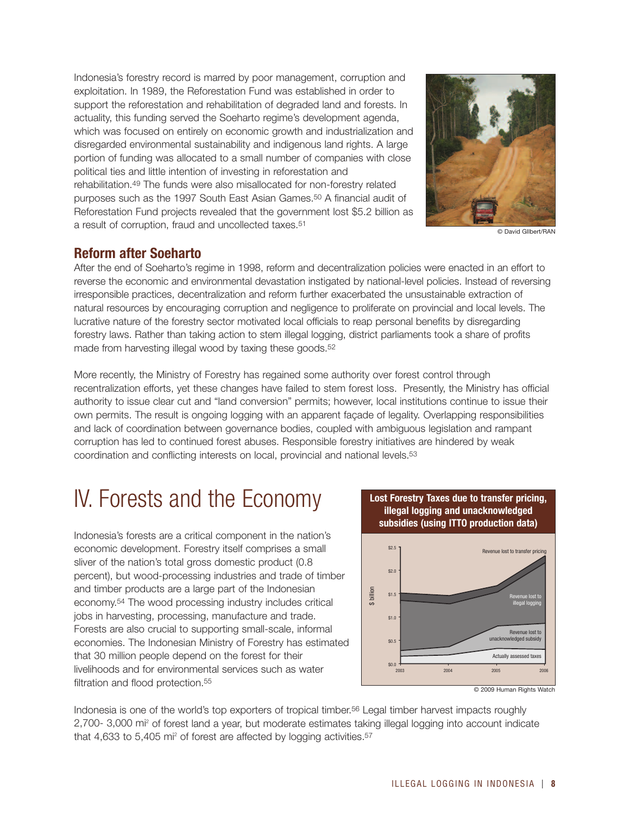Indonesia's forestry record is marred by poor management, corruption and exploitation. In 1989, the Reforestation Fund was established in order to support the reforestation and rehabilitation of degraded land and forests. In actuality, this funding served the Soeharto regime's development agenda, which was focused on entirely on economic growth and industrialization and disregarded environmental sustainability and indigenous land rights. A large portion of funding was allocated to a small number of companies with close political ties and little intention of investing in reforestation and rehabilitation.49 The funds were also misallocated for non-forestry related purposes such as the 1997 South East Asian Games.50 A financial audit of Reforestation Fund projects revealed that the government lost \$5.2 billion as a result of corruption, fraud and uncollected taxes.51



© David GIlbert/RAN

### **Reform after Soeharto**

After the end of Soeharto's regime in 1998, reform and decentralization policies were enacted in an effort to reverse the economic and environmental devastation instigated by national-level policies. Instead of reversing irresponsible practices, decentralization and reform further exacerbated the unsustainable extraction of natural resources by encouraging corruption and negligence to proliferate on provincial and local levels. The lucrative nature of the forestry sector motivated local officials to reap personal benefits by disregarding forestry laws. Rather than taking action to stem illegal logging, district parliaments took a share of profits made from harvesting illegal wood by taxing these goods.<sup>52</sup>

More recently, the Ministry of Forestry has regained some authority over forest control through recentralization efforts, yet these changes have failed to stem forest loss. Presently, the Ministry has official authority to issue clear cut and "land conversion" permits; however, local institutions continue to issue their own permits. The result is ongoing logging with an apparent façade of legality. Overlapping responsibilities and lack of coordination between governance bodies, coupled with ambiguous legislation and rampant corruption has led to continued forest abuses. Responsible forestry initiatives are hindered by weak coordination and conflicting interests on local, provincial and national levels.53

# IV. Forests and the Economy

Indonesia's forests are a critical component in the nation's economic development. Forestry itself comprises a small sliver of the nation's total gross domestic product (0.8 percent), but wood-processing industries and trade of timber and timber products are a large part of the Indonesian economy.54 The wood processing industry includes critical jobs in harvesting, processing, manufacture and trade. Forests are also crucial to supporting small-scale, informal economies. The Indonesian Ministry of Forestry has estimated that 30 million people depend on the forest for their livelihoods and for environmental services such as water filtration and flood protection <sup>55</sup>



**Lost Forestry Taxes due to transfer pricing,**

Indonesia is one of the world's top exporters of tropical timber.56 Legal timber harvest impacts roughly 2,700- 3,000 mi2 of forest land a year, but moderate estimates taking illegal logging into account indicate that 4,633 to 5,405 mi<sup>2</sup> of forest are affected by logging activities.<sup>57</sup>

<sup>©</sup> 2009 Human Rights Watch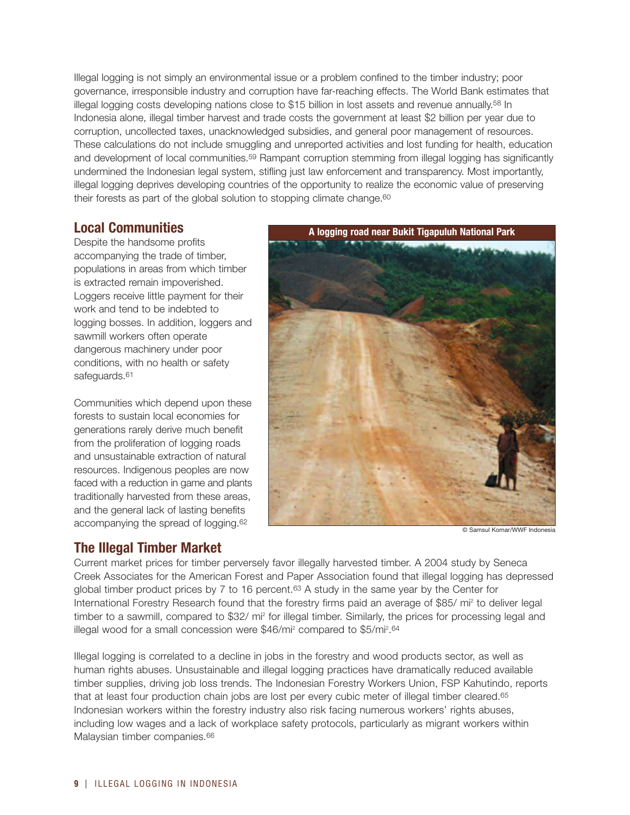Illegal logging is not simply an environmental issue or a problem confined to the timber industry; poor governance, irresponsible industry and corruption have far-reaching effects. The World Bank estimates that illegal logging costs developing nations close to \$15 billion in lost assets and revenue annually.<sup>58</sup> In Indonesia alone, illegal timber harvest and trade costs the government at least \$2 billion per year due to corruption, uncollected taxes, unacknowledged subsidies, and general poor management of resources. These calculations do not include smuggling and unreported activities and lost funding for health, education and development of local communities.59 Rampant corruption stemming from illegal logging has significantly undermined the Indonesian legal system, stifling just law enforcement and transparency. Most importantly, illegal logging deprives developing countries of the opportunity to realize the economic value of preserving their forests as part of the global solution to stopping climate change.<sup>60</sup>

### **Local Communities**

Despite the handsome profits accompanying the trade of timber, populations in areas from which timber is extracted remain impoverished. Loggers receive little payment for their work and tend to be indebted to logging bosses. In addition, loggers and sawmill workers often operate dangerous machinery under poor conditions, with no health or safety safeguards.<sup>61</sup>

Communities which depend upon these forests to sustain local economies for generations rarely derive much benefit from the proliferation of logging roads and unsustainable extraction of natural resources. Indigenous peoples are now faced with a reduction in game and plants traditionally harvested from these areas, and the general lack of lasting benefits accompanying the spread of logging.62

**A logging road near Bukit Tigapuluh National Park** 

### **The Illegal Timber Market**

© Samsul Komar/WWF Indonesia

Current market prices for timber perversely favor illegally harvested timber. A 2004 study by Seneca Creek Associates for the American Forest and Paper Association found that illegal logging has depressed global timber product prices by 7 to 16 percent.<sup>63</sup> A study in the same year by the Center for International Forestry Research found that the forestry firms paid an average of \$85/ mi<sup>2</sup> to deliver legal timber to a sawmill, compared to \$32/ mi<sup>2</sup> for illegal timber. Similarly, the prices for processing legal and illegal wood for a small concession were \$46/mi<sup>2</sup> compared to \$5/mi<sup>2</sup>.<sup>64</sup>

Illegal logging is correlated to a decline in jobs in the forestry and wood products sector, as well as human rights abuses. Unsustainable and illegal logging practices have dramatically reduced available timber supplies, driving job loss trends. The Indonesian Forestry Workers Union, FSP Kahutindo, reports that at least four production chain jobs are lost per every cubic meter of illegal timber cleared.<sup>65</sup> Indonesian workers within the forestry industry also risk facing numerous workers' rights abuses, including low wages and a lack of workplace safety protocols, particularly as migrant workers within Malaysian timber companies.<sup>66</sup>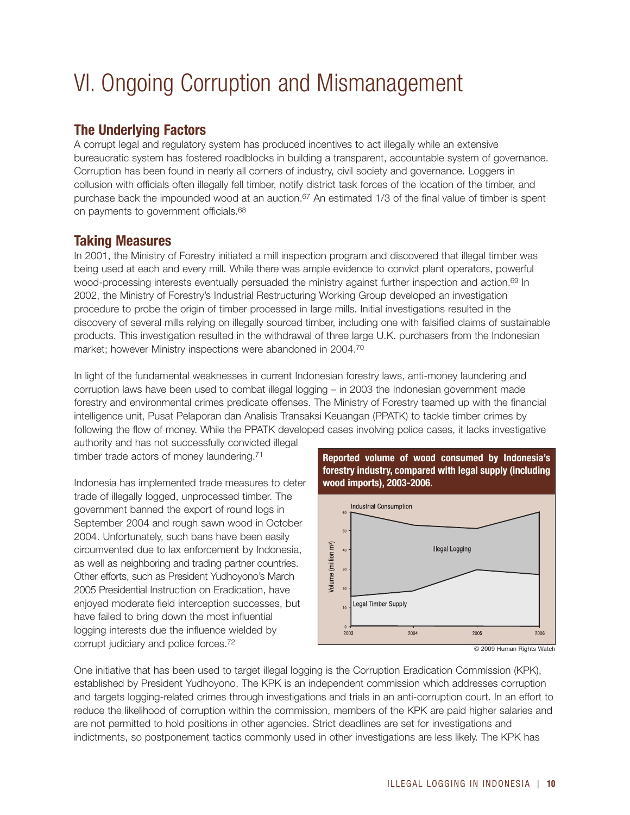# VI. Ongoing Corruption and Mismanagement

### **The Underlying Factors**

A corrupt legal and regulatory system has produced incentives to act illegally while an extensive bureaucratic system has fostered roadblocks in building a transparent, accountable system of governance. Corruption has been found in nearly all corners of industry, civil society and governance. Loggers in collusion with officials often illegally fell timber, notify district task forces of the location of the timber, and purchase back the impounded wood at an auction.<sup>67</sup> An estimated 1/3 of the final value of timber is spent on payments to government officials.68

### **Taking Measures**

In 2001, the Ministry of Forestry initiated a mill inspection program and discovered that illegal timber was being used at each and every mill. While there was ample evidence to convict plant operators, powerful wood-processing interests eventually persuaded the ministry against further inspection and action.<sup>69</sup> In 2002, the Ministry of Forestry's Industrial Restructuring Working Group developed an investigation procedure to probe the origin of timber processed in large mills. Initial investigations resulted in the discovery of several mills relying on illegally sourced timber, including one with falsified claims of sustainable products. This investigation resulted in the withdrawal of three large U.K. purchasers from the Indonesian market; however Ministry inspections were abandoned in 2004.70

In light of the fundamental weaknesses in current Indonesian forestry laws, anti-money laundering and corruption laws have been used to combat illegal logging – in 2003 the Indonesian government made forestry and environmental crimes predicate offenses. The Ministry of Forestry teamed up with the financial intelligence unit, Pusat Pelaporan dan Analisis Transaksi Keuangan (PPATK) to tackle timber crimes by following the flow of money. While the PPATK developed cases involving police cases, it lacks investigative

authority and has not successfully convicted illegal timber trade actors of money laundering.<sup>71</sup>

Indonesia has implemented trade measures to deter trade of illegally logged, unprocessed timber. The government banned the export of round logs in September 2004 and rough sawn wood in October 2004. Unfortunately, such bans have been easily circumvented due to lax enforcement by Indonesia, as well as neighboring and trading partner countries. Other efforts, such as President Yudhoyono's March 2005 Presidential Instruction on Eradication, have enjoyed moderate field interception successes, but have failed to bring down the most influential logging interests due the influence wielded by corrupt judiciary and police forces.72

**Reported volume of wood consumed by Indonesia's forestry industry, compared with legal supply (including wood imports), 2003-2006.**



© 2009 Human Rights Watch

One initiative that has been used to target illegal logging is the Corruption Eradication Commission (KPK), established by President Yudhoyono. The KPK is an independent commission which addresses corruption and targets logging-related crimes through investigations and trials in an anti-corruption court. In an effort to reduce the likelihood of corruption within the commission, members of the KPK are paid higher salaries and are not permitted to hold positions in other agencies. Strict deadlines are set for investigations and indictments, so postponement tactics commonly used in other investigations are less likely. The KPK has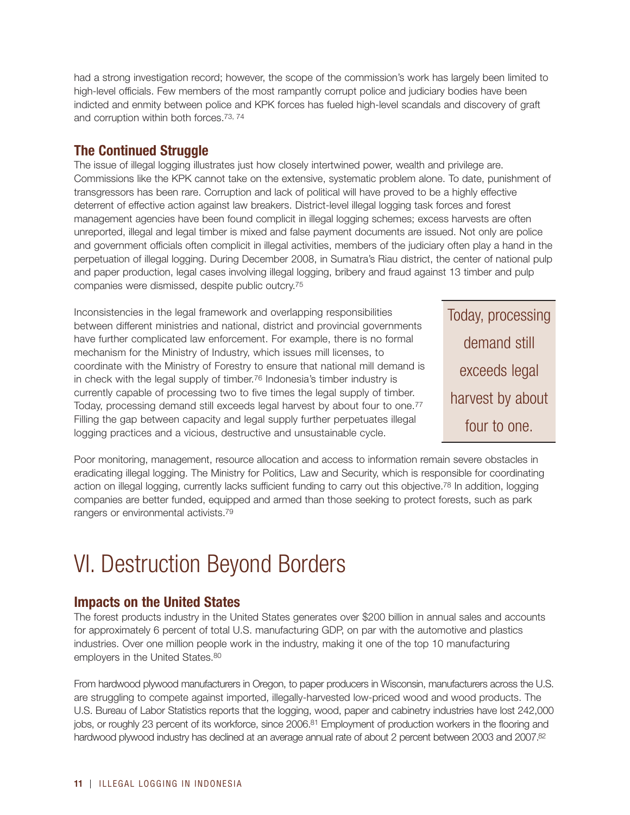had a strong investigation record; however, the scope of the commission's work has largely been limited to high-level officials. Few members of the most rampantly corrupt police and judiciary bodies have been indicted and enmity between police and KPK forces has fueled high-level scandals and discovery of graft and corruption within both forces.73, 74

### **The Continued Struggle**

The issue of illegal logging illustrates just how closely intertwined power, wealth and privilege are. Commissions like the KPK cannot take on the extensive, systematic problem alone. To date, punishment of transgressors has been rare. Corruption and lack of political will have proved to be a highly effective deterrent of effective action against law breakers. District-level illegal logging task forces and forest management agencies have been found complicit in illegal logging schemes; excess harvests are often unreported, illegal and legal timber is mixed and false payment documents are issued. Not only are police and government officials often complicit in illegal activities, members of the judiciary often play a hand in the perpetuation of illegal logging. During December 2008, in Sumatra's Riau district, the center of national pulp and paper production, legal cases involving illegal logging, bribery and fraud against 13 timber and pulp companies were dismissed, despite public outcry.75

Inconsistencies in the legal framework and overlapping responsibilities between different ministries and national, district and provincial governments have further complicated law enforcement. For example, there is no formal mechanism for the Ministry of Industry, which issues mill licenses, to coordinate with the Ministry of Forestry to ensure that national mill demand is in check with the legal supply of timber.76 Indonesia's timber industry is currently capable of processing two to five times the legal supply of timber. Today, processing demand still exceeds legal harvest by about four to one.77 Filling the gap between capacity and legal supply further perpetuates illegal logging practices and a vicious, destructive and unsustainable cycle.

Today, processing demand still exceeds legal harvest by about four to one.

Poor monitoring, management, resource allocation and access to information remain severe obstacles in eradicating illegal logging. The Ministry for Politics, Law and Security, which is responsible for coordinating action on illegal logging, currently lacks sufficient funding to carry out this objective.<sup>78</sup> In addition, logging companies are better funded, equipped and armed than those seeking to protect forests, such as park rangers or environmental activists.79

## VI. Destruction Beyond Borders

### **Impacts on the United States**

The forest products industry in the United States generates over \$200 billion in annual sales and accounts for approximately 6 percent of total U.S. manufacturing GDP, on par with the automotive and plastics industries. Over one million people work in the industry, making it one of the top 10 manufacturing employers in the United States.80

From hardwood plywood manufacturers in Oregon, to paper producers in Wisconsin, manufacturers across the U.S. are struggling to compete against imported, illegally-harvested low-priced wood and wood products. The U.S. Bureau of Labor Statistics reports that the logging, wood, paper and cabinetry industries have lost 242,000 jobs, or roughly 23 percent of its workforce, since 2006.<sup>81</sup> Employment of production workers in the flooring and hardwood plywood industry has declined at an average annual rate of about 2 percent between 2003 and 2007.82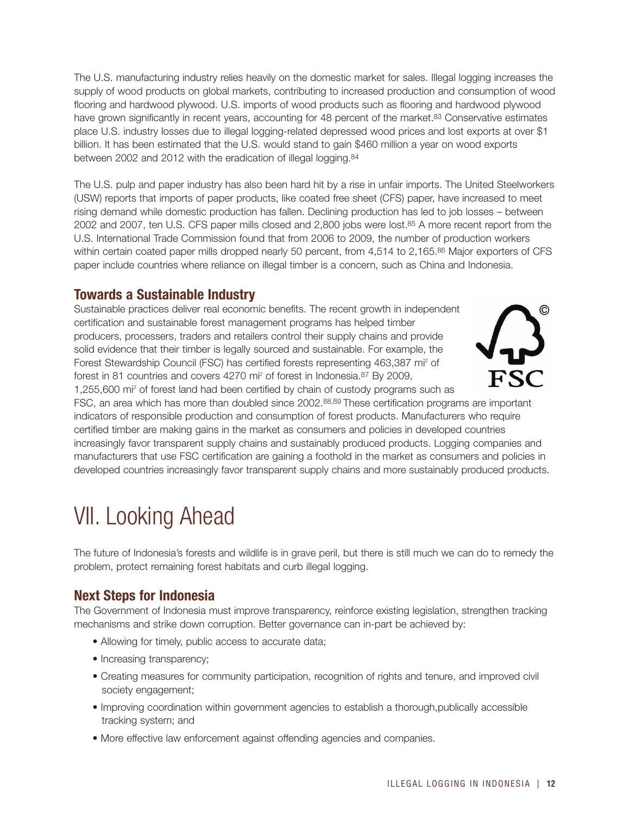The U.S. manufacturing industry relies heavily on the domestic market for sales. Illegal logging increases the supply of wood products on global markets, contributing to increased production and consumption of wood flooring and hardwood plywood. U.S. imports of wood products such as flooring and hardwood plywood have grown significantly in recent years, accounting for 48 percent of the market.<sup>83</sup> Conservative estimates place U.S. industry losses due to illegal logging-related depressed wood prices and lost exports at over \$1 billion. It has been estimated that the U.S. would stand to gain \$460 million a year on wood exports between 2002 and 2012 with the eradication of illegal logging.84

The U.S. pulp and paper industry has also been hard hit by a rise in unfair imports. The United Steelworkers (USW) reports that imports of paper products, like coated free sheet (CFS) paper, have increased to meet rising demand while domestic production has fallen. Declining production has led to job losses – between 2002 and 2007, ten U.S. CFS paper mills closed and 2,800 jobs were lost.85 A more recent report from the U.S. International Trade Commission found that from 2006 to 2009, the number of production workers within certain coated paper mills dropped nearly 50 percent, from 4,514 to 2,165.86 Major exporters of CFS paper include countries where reliance on illegal timber is a concern, such as China and Indonesia.

### **Towards a Sustainable Industry**

Sustainable practices deliver real economic benefits. The recent growth in independent certification and sustainable forest management programs has helped timber producers, processers, traders and retailers control their supply chains and provide solid evidence that their timber is legally sourced and sustainable. For example, the Forest Stewardship Council (FSC) has certified forests representing 463,387 mi2 of forest in 81 countries and covers 4270 mi2 of forest in Indonesia.87 By 2009, 1,255,600 mi2 of forest land had been certified by chain of custody programs such as



FSC, an area which has more than doubled since 2002.88,89 These certification programs are important indicators of responsible production and consumption of forest products. Manufacturers who require certified timber are making gains in the market as consumers and policies in developed countries increasingly favor transparent supply chains and sustainably produced products. Logging companies and manufacturers that use FSC certification are gaining a foothold in the market as consumers and policies in developed countries increasingly favor transparent supply chains and more sustainably produced products.

# VII. Looking Ahead

The future of Indonesia's forests and wildlife is in grave peril, but there is still much we can do to remedy the problem, protect remaining forest habitats and curb illegal logging.

### **Next Steps for Indonesia**

The Government of Indonesia must improve transparency, reinforce existing legislation, strengthen tracking mechanisms and strike down corruption. Better governance can in-part be achieved by:

- Allowing for timely, public access to accurate data;
- Increasing transparency;
- Creating measures for community participation, recognition of rights and tenure, and improved civil society engagement;
- Improving coordination within government agencies to establish a thorough,publically accessible tracking system; and
- More effective law enforcement against offending agencies and companies.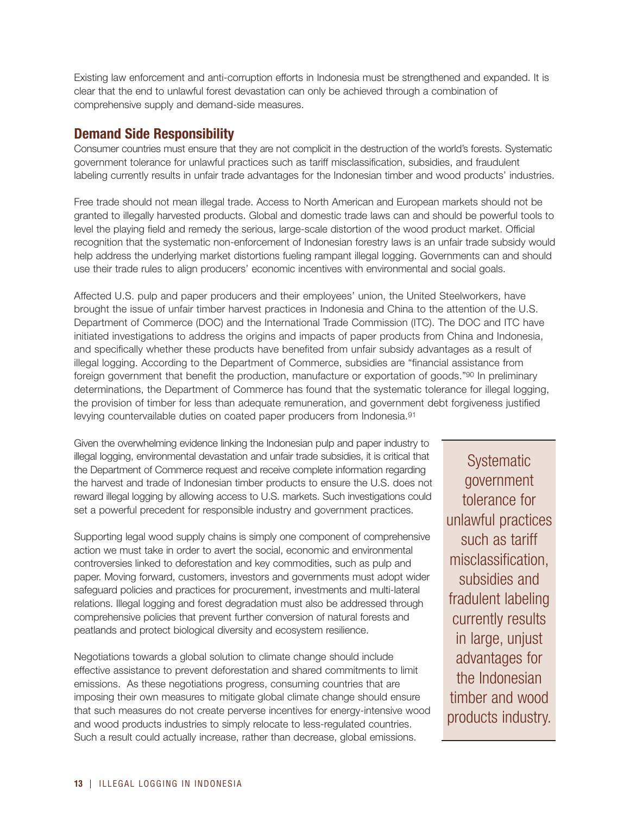Existing law enforcement and anti-corruption efforts in Indonesia must be strengthened and expanded. It is clear that the end to unlawful forest devastation can only be achieved through a combination of comprehensive supply and demand-side measures.

### **Demand Side Responsibility**

Consumer countries must ensure that they are not complicit in the destruction of the world's forests. Systematic government tolerance for unlawful practices such as tariff misclassification, subsidies, and fraudulent labeling currently results in unfair trade advantages for the Indonesian timber and wood products' industries.

Free trade should not mean illegal trade. Access to North American and European markets should not be granted to illegally harvested products. Global and domestic trade laws can and should be powerful tools to level the playing field and remedy the serious, large-scale distortion of the wood product market. Official recognition that the systematic non-enforcement of Indonesian forestry laws is an unfair trade subsidy would help address the underlying market distortions fueling rampant illegal logging. Governments can and should use their trade rules to align producers' economic incentives with environmental and social goals.

Affected U.S. pulp and paper producers and their employees' union, the United Steelworkers, have brought the issue of unfair timber harvest practices in Indonesia and China to the attention of the U.S. Department of Commerce (DOC) and the International Trade Commission (ITC). The DOC and ITC have initiated investigations to address the origins and impacts of paper products from China and Indonesia, and specifically whether these products have benefited from unfair subsidy advantages as a result of illegal logging. According to the Department of Commerce, subsidies are "financial assistance from foreign government that benefit the production, manufacture or exportation of goods."90 In preliminary determinations, the Department of Commerce has found that the systematic tolerance for illegal logging, the provision of timber for less than adequate remuneration, and government debt forgiveness justified levying countervailable duties on coated paper producers from Indonesia.91

Given the overwhelming evidence linking the Indonesian pulp and paper industry to illegal logging, environmental devastation and unfair trade subsidies, it is critical that the Department of Commerce request and receive complete information regarding the harvest and trade of Indonesian timber products to ensure the U.S. does not reward illegal logging by allowing access to U.S. markets. Such investigations could set a powerful precedent for responsible industry and government practices.

Supporting legal wood supply chains is simply one component of comprehensive action we must take in order to avert the social, economic and environmental controversies linked to deforestation and key commodities, such as pulp and paper. Moving forward, customers, investors and governments must adopt wider safeguard policies and practices for procurement, investments and multi-lateral relations. Illegal logging and forest degradation must also be addressed through comprehensive policies that prevent further conversion of natural forests and peatlands and protect biological diversity and ecosystem resilience.

Negotiations towards a global solution to climate change should include effective assistance to prevent deforestation and shared commitments to limit emissions. As these negotiations progress, consuming countries that are imposing their own measures to mitigate global climate change should ensure that such measures do not create perverse incentives for energy-intensive wood and wood products industries to simply relocate to less-regulated countries. Such a result could actually increase, rather than decrease, global emissions.

**Systematic** government tolerance for unlawful practices such as tariff misclassification, subsidies and fradulent labeling currently results in large, unjust advantages for the Indonesian timber and wood products industry.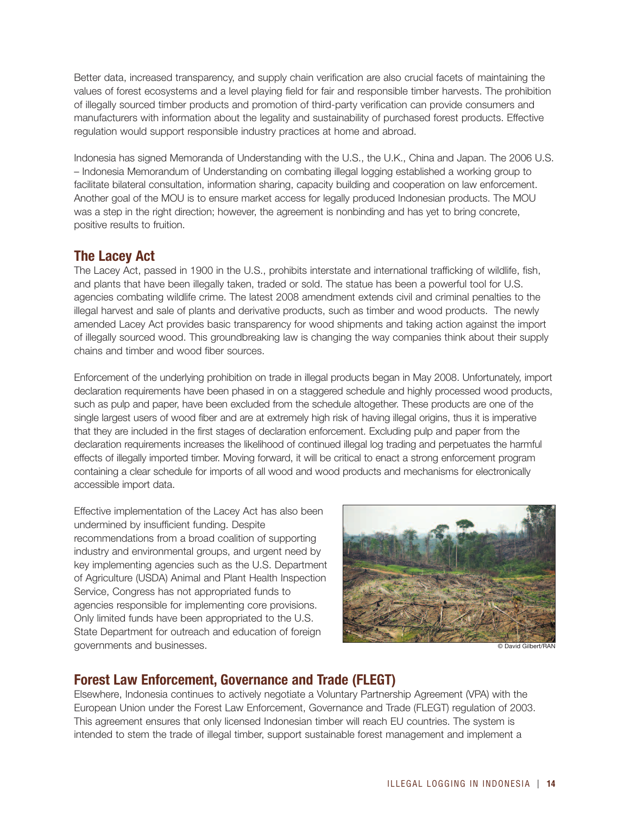Better data, increased transparency, and supply chain verification are also crucial facets of maintaining the values of forest ecosystems and a level playing field for fair and responsible timber harvests. The prohibition of illegally sourced timber products and promotion of third-party verification can provide consumers and manufacturers with information about the legality and sustainability of purchased forest products. Effective regulation would support responsible industry practices at home and abroad.

Indonesia has signed Memoranda of Understanding with the U.S., the U.K., China and Japan. The 2006 U.S. – Indonesia Memorandum of Understanding on combating illegal logging established a working group to facilitate bilateral consultation, information sharing, capacity building and cooperation on law enforcement. Another goal of the MOU is to ensure market access for legally produced Indonesian products. The MOU was a step in the right direction; however, the agreement is nonbinding and has yet to bring concrete, positive results to fruition.

### **The Lacey Act**

The Lacey Act, passed in 1900 in the U.S., prohibits interstate and international trafficking of wildlife, fish, and plants that have been illegally taken, traded or sold. The statue has been a powerful tool for U.S. agencies combating wildlife crime. The latest 2008 amendment extends civil and criminal penalties to the illegal harvest and sale of plants and derivative products, such as timber and wood products. The newly amended Lacey Act provides basic transparency for wood shipments and taking action against the import of illegally sourced wood. This groundbreaking law is changing the way companies think about their supply chains and timber and wood fiber sources.

Enforcement of the underlying prohibition on trade in illegal products began in May 2008. Unfortunately, import declaration requirements have been phased in on a staggered schedule and highly processed wood products, such as pulp and paper, have been excluded from the schedule altogether. These products are one of the single largest users of wood fiber and are at extremely high risk of having illegal origins, thus it is imperative that they are included in the first stages of declaration enforcement. Excluding pulp and paper from the declaration requirements increases the likelihood of continued illegal log trading and perpetuates the harmful effects of illegally imported timber. Moving forward, it will be critical to enact a strong enforcement program containing a clear schedule for imports of all wood and wood products and mechanisms for electronically accessible import data.

Effective implementation of the Lacey Act has also been undermined by insufficient funding. Despite recommendations from a broad coalition of supporting industry and environmental groups, and urgent need by key implementing agencies such as the U.S. Department of Agriculture (USDA) Animal and Plant Health Inspection Service, Congress has not appropriated funds to agencies responsible for implementing core provisions. Only limited funds have been appropriated to the U.S. State Department for outreach and education of foreign governments and businesses.



© David Gilbert/RAN

### **Forest Law Enforcement, Governance and Trade (FLEGT)**

Elsewhere, Indonesia continues to actively negotiate a Voluntary Partnership Agreement (VPA) with the European Union under the Forest Law Enforcement, Governance and Trade (FLEGT) regulation of 2003. This agreement ensures that only licensed Indonesian timber will reach EU countries. The system is intended to stem the trade of illegal timber, support sustainable forest management and implement a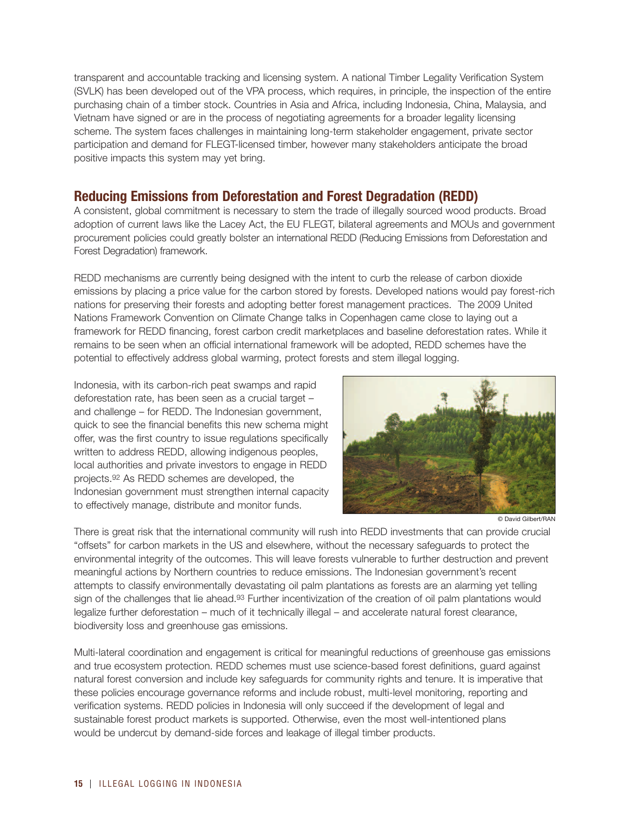transparent and accountable tracking and licensing system. A national Timber Legality Verification System (SVLK) has been developed out of the VPA process, which requires, in principle, the inspection of the entire purchasing chain of a timber stock. Countries in Asia and Africa, including Indonesia, China, Malaysia, and Vietnam have signed or are in the process of negotiating agreements for a broader legality licensing scheme. The system faces challenges in maintaining long-term stakeholder engagement, private sector participation and demand for FLEGT-licensed timber, however many stakeholders anticipate the broad positive impacts this system may yet bring.

### **Reducing Emissions from Deforestation and Forest Degradation (REDD)**

A consistent, global commitment is necessary to stem the trade of illegally sourced wood products. Broad adoption of current laws like the Lacey Act, the EU FLEGT, bilateral agreements and MOUs and government procurement policies could greatly bolster an international REDD (Reducing Emissions from Deforestation and Forest Degradation) framework.

REDD mechanisms are currently being designed with the intent to curb the release of carbon dioxide emissions by placing a price value for the carbon stored by forests. Developed nations would pay forest-rich nations for preserving their forests and adopting better forest management practices. The 2009 United Nations Framework Convention on Climate Change talks in Copenhagen came close to laying out a framework for REDD financing, forest carbon credit marketplaces and baseline deforestation rates. While it remains to be seen when an official international framework will be adopted, REDD schemes have the potential to effectively address global warming, protect forests and stem illegal logging.

Indonesia, with its carbon-rich peat swamps and rapid deforestation rate, has been seen as a crucial target – and challenge – for REDD. The Indonesian government, quick to see the financial benefits this new schema might offer, was the first country to issue regulations specifically written to address REDD, allowing indigenous peoples, local authorities and private investors to engage in REDD projects.92 As REDD schemes are developed, the Indonesian government must strengthen internal capacity to effectively manage, distribute and monitor funds.



© David Gilbert/RAN

There is great risk that the international community will rush into REDD investments that can provide crucial "offsets" for carbon markets in the US and elsewhere, without the necessary safeguards to protect the environmental integrity of the outcomes. This will leave forests vulnerable to further destruction and prevent meaningful actions by Northern countries to reduce emissions. The Indonesian government's recent attempts to classify environmentally devastating oil palm plantations as forests are an alarming yet telling sign of the challenges that lie ahead.<sup>93</sup> Further incentivization of the creation of oil palm plantations would legalize further deforestation – much of it technically illegal – and accelerate natural forest clearance, biodiversity loss and greenhouse gas emissions.

Multi-lateral coordination and engagement is critical for meaningful reductions of greenhouse gas emissions and true ecosystem protection. REDD schemes must use science-based forest definitions, guard against natural forest conversion and include key safeguards for community rights and tenure. It is imperative that these policies encourage governance reforms and include robust, multi-level monitoring, reporting and verification systems. REDD policies in Indonesia will only succeed if the development of legal and sustainable forest product markets is supported. Otherwise, even the most well-intentioned plans would be undercut by demand-side forces and leakage of illegal timber products.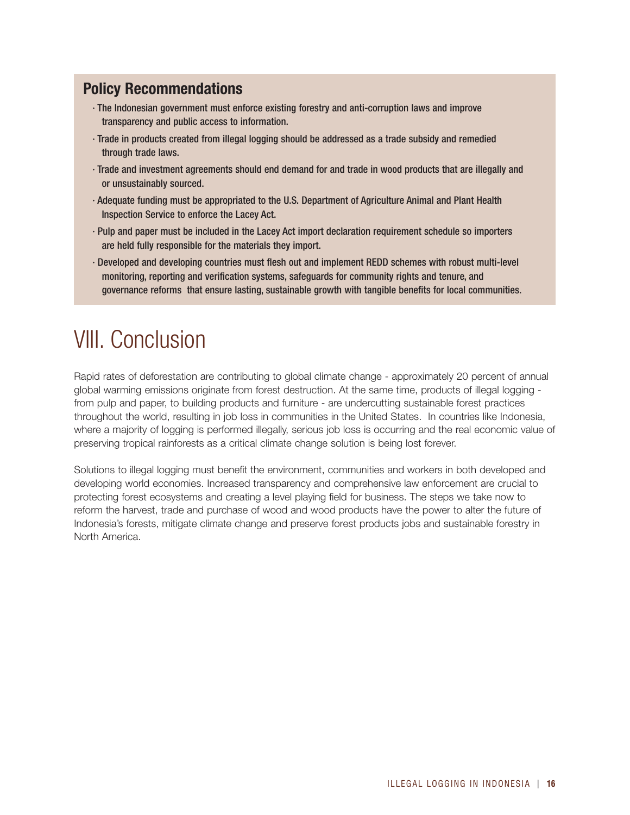### **Policy Recommendations**

- · The Indonesian government must enforce existing forestry and anti-corruption laws and improve transparency and public access to information.
- · Trade in products created from illegal logging should be addressed as a trade subsidy and remedied through trade laws.
- · Trade and investment agreements should end demand for and trade in wood products that are illegally and or unsustainably sourced.
- · Adequate funding must be appropriated to the U.S. Department of Agriculture Animal and Plant Health Inspection Service to enforce the Lacey Act.
- · Pulp and paper must be included in the Lacey Act import declaration requirement schedule so importers are held fully responsible for the materials they import.
- · Developed and developing countries must flesh out and implement REDD schemes with robust multi-level monitoring, reporting and verification systems, safeguards for community rights and tenure, and governance reforms that ensure lasting, sustainable growth with tangible benefits for local communities.

# VIII. Conclusion

Rapid rates of deforestation are contributing to global climate change - approximately 20 percent of annual global warming emissions originate from forest destruction. At the same time, products of illegal logging from pulp and paper, to building products and furniture - are undercutting sustainable forest practices throughout the world, resulting in job loss in communities in the United States. In countries like Indonesia, where a majority of logging is performed illegally, serious job loss is occurring and the real economic value of preserving tropical rainforests as a critical climate change solution is being lost forever.

Solutions to illegal logging must benefit the environment, communities and workers in both developed and developing world economies. Increased transparency and comprehensive law enforcement are crucial to protecting forest ecosystems and creating a level playing field for business. The steps we take now to reform the harvest, trade and purchase of wood and wood products have the power to alter the future of Indonesia's forests, mitigate climate change and preserve forest products jobs and sustainable forestry in North America.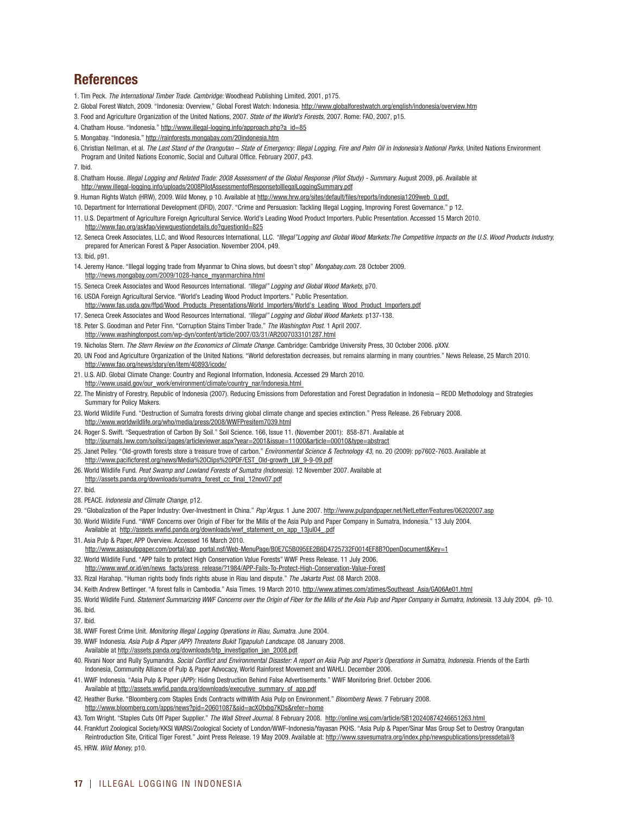### **References**

- 1. Tim Peck. *The International Timber Trade. Cambridge:* Woodhead Publishing Limited, 2001, p175.
- 2. Global Forest Watch, 2009. "Indonesia: Overview," Global Forest Watch: Indonesia. http://www.globalforestwatch.org/english/indonesia/overview.htm
- 3. Food and Agriculture Organization of the United Nations, 2007. *State of the World's Forests,* 2007. Rome: FAO, 2007, p15.
- 4. Chatham House. "Indonesia." http://www.illegal-logging.info/approach.php?a\_id=85
- 5. Mongabay. "Indonesia." http://rainforests.mongabay.com/20indonesia.htm
- 6. Christian Nellman, et al. *The Last Stand of the Orangutan State of Emergency: Illegal Logging, Fire and Palm Oil in Indonesia's National Parks,* United Nations Environment Program and United Nations Economic, Social and Cultural Office. February 2007, p43.

7. Ibid.

- 8. Chatham House. *Illegal Logging and Related Trade: 2008 Assessment of the Global Response (Pilot Study) Summary.* August 2009, p6. Available at http://www.illegal-logging.info/uploads/2008PilotAssessmentofResponsetolllegalLoggingSummary.pdf
- 9. Human Rights Watch (HRW), 2009. Wild Money, p 10. Available at http://www.hrw.org/sites/default/files/reports/indonesia1209web\_0.pdf.
- 10. Department for International Development (DFID), 2007. "Crime and Persuasion: Tackling Illegal Logging, Improving Forest Governance." p 12.
- 11. U.S. Department of Agriculture Foreign Agricultural Service. World's Leading Wood Product Importers. Public Presentation. Accessed 15 March 2010. http://www.fao.org/askfao/viewquestiondetails.do?questionId=825
- 12. Seneca Creek Associates, LLC, and Wood Resources International, LLC. *"Illegal"Logging and Global Wood Markets:The Competitive Impacts on the U.S. Wood Products Industry,* prepared for American Forest & Paper Association. November 2004, p49.
- 13. Ibid, p91.
- 14. Jeremy Hance. "Illegal logging trade from Myanmar to China slows, but doesn't stop" *Mongabay.com.* 28 October 2009. http://news.mongabay.com/2009/1028-hance\_myanmarchina.html
- 15. Seneca Creek Associates and Wood Resources International. *"Illegal" Logging and Global Wood Markets,* p70.
- 16. USDA Foreign Agricultural Service. "World's Leading Wood Product Importers." Public Presentation.
- http://www.fas.usda.gov/ffpd/Wood\_Products\_Presentations/World\_Importers/World's\_Leading\_Wood\_Product\_Importers.pdf 17. Seneca Creek Associates and Wood Resources International. *"Illegal" Logging and Global Wood Markets.* p137-138.
- 18. Peter S. Goodman and Peter Finn. "Corruption Stains Timber Trade." *The Washington Post.* 1 April 2007. http://www.washingtonpost.com/wp-dyn/content/article/2007/03/31/AR2007033101287.html
- 19. Nicholas Stern. *The Stern Review on the Economics of Climate Change.* Cambridge: Cambridge University Press, 30 October 2006. pXXV.
- 20. UN Food and Agriculture Organization of the United Nations. "World deforestation decreases, but remains alarming in many countries." News Release, 25 March 2010. http://www.fao.org/news/story/en/item/40893/icode/
- 21. U.S. AID. Global Climate Change: Country and Regional Information, Indonesia. Accessed 29 March 2010. http://www.usaid.gov/our\_work/environment/climate/country\_nar/indonesia.html
- 22. The Ministry of Forestry, Republic of Indonesia (2007). Reducing Emissions from Deforestation and Forest Degradation in Indonesia REDD Methodology and Strategies Summary for Policy Makers.
- 23. World Wildlife Fund. "Destruction of Sumatra forests driving global climate change and species extinction." Press Release. 26 February 2008. http://www.worldwildlife.org/who/media/press/2008/WWFPresitem7039.html
- 24. Roger S. Swift. "Sequestration of Carbon By Soil." Soil Science. 166, Issue 11. (November 2001): 858-871. Available at http://journals.lww.com/soilsci/pages/articleviewer.aspx?year=2001&issue=11000&article=00010&type=abstract
- 25. Janet Pelley. "Old-growth forests store a treasure trove of carbon." *Environmental Science & Technology 43,* no. 20 (2009): pp7602-7603. Available at http://www.pacificforest.org/news/Media%20Clips%20PDF/EST\_Old-growth\_LW\_9-9-09.pdf
- 26. World Wildlife Fund. *Peat Swamp and Lowland Forests of Sumatra (Indonesia).* 12 November 2007. Available at http://assets.panda.org/downloads/sumatra\_forest\_cc\_final\_12nov07.pdf
- 27. Ibid.
- 28. PEACE. *Indonesia and Climate Change,* p12.
- 29. "Globalization of the Paper Industry: Over-Investment in China." *Pap'Argus.* 1 June 2007. http://www.pulpandpaper.net/NetLetter/Features/06202007.asp
- 30. World Wildlife Fund. "WWF Concerns over Origin of Fiber for the Mills of the Asia Pulp and Paper Company in Sumatra, Indonesia." 13 July 2004. Available at http://assets.wwfid.panda.org/downloads/wwf\_statement\_on\_app\_13jul04\_.pdf
- 31. Asia Pulp & Paper, APP Overview. Accessed 16 March 2010. http://www.asiapulppaper.com/portal/app\_portal.nsf/Web-MenuPage/B0E7C5B095EE2B6D4725732F0014EF8B?OpenDocument&Key=1
- 32. World Wildlife Fund. "APP fails to protect High Conservation Value Forests" WWF Press Release. 11 July 2006.
- http://www.wwf.or.id/en/news\_facts/press\_release/?1984/APP-Fails-To-Protect-High-Conservation-Value-Forest
- 33. Rizal Harahap. "Human rights body finds rights abuse in Riau land dispute." *The Jakarta Post.* 08 March 2008.
- 34. Keith Andrew Bettinger. "A forest falls in Cambodia." Asia Times. 19 March 2010. http://www.atimes.com/atimes/Southeast\_Asia/GA06Ae01.html
- 35. World Wildlife Fund. *Statement Summarizing WWF Concerns over the Origin of Fiber for the Mills of the Asia Pulp and Paper Company in Sumatra, Indonesia.* 13 July 2004, p9- 10. 36. Ibid.

37. Ibid.

- 38. WWF Forest Crime Unit. *Monitoring Illegal Logging Operations in Riau, Sumatra.* June 2004.
- 39. WWF Indonesia. *Asia Pulp & Paper (APP) Threatens Bukit Tigapuluh Landscape.* 08 January 2008. Available at http://assets.panda.org/downloads/btp\_investigation\_jan\_2008.pdf
- 40. Rivani Noor and Rully Syumandra. *Social Conflict and Environmental Disaster: A report on Asia Pulp and Paper's Operations in Sumatra, Indonesia.* Friends of the Earth Indonesia, Community Alliance of Pulp & Paper Advocacy, World Rainforest Movement and WAHLI. December 2006.
- 41. WWF Indonesia. "Asia Pulp & Paper (APP): Hiding Destruction Behind False Advertisements." WWF Monitoring Brief. October 2006. Available at http://assets.wwfid.panda.org/downloads/executive\_summary\_of\_app.pdf
- 42. Heather Burke. "Bloomberg.com Staples Ends Contracts withWith Asia Pulp on Environment." *Bloomberg News.* 7 February 2008. http://www.bloomberg.com/apps/news?pid=20601087&sid=acXOtxbg7KDs&refer=home
- 43. Tom Wright. "Staples Cuts Off Paper Supplier." *The Wall Street Journal.* 8 February 2008. http://online.wsj.com/article/SB120240874246651263.html
- 44. Frankfurt Zoological Society/KKSI WARSI/Zoological Society of London/WWF-Indonesia/Yayasan PKHS. "Asia Pulp & Paper/Sinar Mas Group Set to Destroy Orangutan Reintroduction Site, Critical Tiger Forest." Joint Press Release. 19 May 2009. Available at: http://www.savesumatra.org/index.php/newspublications/pressdetail/8

45. HRW. *Wild Money,* p10.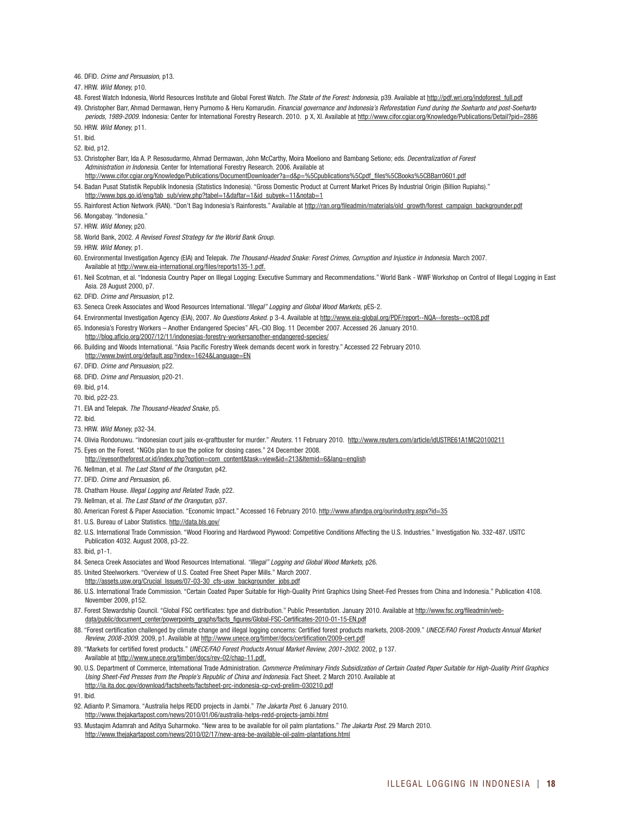46. DFID. *Crime and Persuasion,* p13.

47. HRW. *Wild Money,* p10.

- 48. Forest Watch Indonesia, World Resources Institute and Global Forest Watch. The State of the Forest: Indonesia, p39. Available at http://pdf.wri.org/indoforest\_full.pdf 49. Christopher Barr, Ahmad Dermawan, Herry Purnomo & Heru Komarudin. *Financial governance and Indonesia's Reforestation Fund during the Soeharto and post-Soeharto*
- *periods, 1989-2009.* Indonesia: Center for International Forestry Research. 2010. p X, XI. Available at http://www.cifor.cgiar.org/Knowledge/Publications/Detail?pid=2886 50. HRW. *Wild Money,* p11.
- 51. Ibid.
- 52. Ibid, p12.
- 53. Christopher Barr, Ida A. P. Resosudarmo, Ahmad Dermawan, John McCarthy, Moira Moeliono and Bambang Setiono; eds. *Decentralization of Forest Administration in Indonesia.* Center for International Forestry Research. 2006. Available at
- http://www.cifor.cgiar.org/Knowledge/Publications/DocumentDownloader?a=d&p=%5Cpublications%5Cpdf\_files%5CBooks%5CBBarr0601.pdf 54. Badan Pusat Statistik Republik Indonesia (Statistics Indonesia). "Gross Domestic Product at Current Market Prices By Industrial Origin (Billion Rupiahs)."
- http://www.bps.go.id/eng/tab\_sub/view.php?tabel=1&daftar=1&id\_subyek=11&notab=1
- 55. Rainforest Action Network (RAN). "Don't Bag Indonesia's Rainforests." Available at http://ran.org/fileadmin/materials/old\_growth/forest\_campaign\_backgrounder.pdf
- 56. Mongabay. "Indonesia."
- 57. HRW. *Wild Money,* p20.
- 58. World Bank, 2002. *A Revised Forest Strategy for the World Bank Group.*

59. HRW. *Wild Money,* p1.

- 60. Environmental Investigation Agency (EIA) and Telepak. *The Thousand-Headed Snake: Forest Crimes, Corruption and Injustice in Indonesia.* March 2007. Available at http://www.eia-international.org/files/reports135-1.pdf.
- 61. Neil Scotman, et al. "Indonesia Country Paper on Illegal Logging: Executive Summary and Recommendations." World Bank WWF Workshop on Control of Illegal Logging in East Asia. 28 August 2000, p7.
- 62. DFID. *Crime and Persuasion,* p12.
- 63. Seneca Creek Associates and Wood Resources International.*"Illegal" Logging and Global Wood Markets,* pES-2.
- 64. Environmental Investigation Agency (EIA), 2007. *No Questions Asked.* p 3-4. Available at http://www.eia-global.org/PDF/report--NQA--forests--oct08.pdf 65. Indonesia's Forestry Workers – Another Endangered Species" AFL-CIO Blog. 11 December 2007. Accessed 26 January 2010.
- http://blog.aflcio.org/2007/12/11/indonesias-forestry-workersanother-endangered-species/
- 66. Building and Woods International. "Asia Pacific Forestry Week demands decent work in forestry." Accessed 22 February 2010. http://www.bwint.org/default.asp?index=1624&Language=EN
- 67. DFID. *Crime and Persuasion,* p22.
- 68. DFID. *Crime and Persuasion,* p20-21.
- 69. Ibid, p14.
- 70. Ibid, p22-23.
- 71. EIA and Telepak. *The Thousand-Headed Snake,* p5.
- 72. Ibid.
- 73. HRW. *Wild Money,* p32-34.
- 74. Olivia Rondonuwu. "Indonesian court jails ex-graftbuster for murder." *Reuters.* 11 February 2010. http://www.reuters.com/article/idUSTRE61A1MC20100211 75. Eyes on the Forest. "NGOs plan to sue the police for closing cases." 24 December 2008.
- http://eyesontheforest.or.id/index.php?option=com\_content&task=view&id=213&Itemid=6&lang=english
- 76. Nellman, et al. *The Last Stand of the Orangutan,* p42.
- 77. DFID. *Crime and Persuasion,* p6.
- 78. Chatham House. *Illegal Logging and Related Trade,* p22.
- 79. Nellman, et al. *The Last Stand of the Orangutan,* p37.
- 80. American Forest & Paper Association. "Economic Impact." Accessed 16 February 2010. http://www.afandpa.org/ourindustry.aspx?id=35
- 81. U.S. Bureau of Labor Statistics. http://data.bls.gov/
- 82. U.S. International Trade Commission. "Wood Flooring and Hardwood Plywood: Competitive Conditions Affecting the U.S. Industries." Investigation No. 332-487. USITC Publication 4032. August 2008, p3-22.
- 83. Ibid, p1-1.
- 84. Seneca Creek Associates and Wood Resources International. *"Illegal" Logging and Global Wood Markets,* p26.
- 85. United Steelworkers. "Overview of U.S. Coated Free Sheet Paper Mills." March 2007. http://assets.usw.org/Crucial\_Issues/07-03-30\_cfs-usw\_backgrounder\_jobs.pdf
- 86. U.S. International Trade Commission. "Certain Coated Paper Suitable for High-Quality Print Graphics Using Sheet-Fed Presses from China and Indonesia." Publication 4108. November 2009, p152.
- 87. Forest Stewardship Council. "Global FSC certificates: type and distribution." Public Presentation. January 2010. Available at http://www.fsc.org/fileadmin/webdata/public/document\_center/powerpoints\_graphs/facts\_figures/Global-FSC-Certificates-2010-01-15-EN.pdf
- 88. "Forest certification challenged by climate change and illegal logging concerns: Certified forest products markets, 2008-2009." *UNECE/FAO Forest Products Annual Market Review, 2008-2009.* 2009, p1. Available at http://www.unece.org/timber/docs/certification/2009-cert.pdf
- 89. "Markets for certified forest products." *UNECE/FAO Forest Products Annual Market Review, 2001-2002.* 2002, p 137. Available at http://www.unece.org/timber/docs/rev-02/chap-11.pdf.
- 90. U.S. Department of Commerce, International Trade Administration. *Commerce Preliminary Finds Subsidization of Certain Coated Paper Suitable for High-Quality Print Graphics Using Sheet-Fed Presses from the People's Republic of China and Indonesia.* Fact Sheet. 2 March 2010. Available at http://ia.ita.doc.gov/download/factsheets/factsheet-prc-indonesia-cp-cvd-prelim-030210.pdf
- 
- 91. Ibid.
- 92. Adianto P. Simamora. "Australia helps REDD projects in Jambi." *The Jakarta Post.* 6 January 2010. http://www.thejakartapost.com/news/2010/01/06/australia-helps-redd-projects-jambi.html
- 93. Mustaqim Adamrah and Aditya Suharmoko. "New area to be available for oil palm plantations." *The Jakarta Post.* 29 March 2010. http://www.thejakartapost.com/news/2010/02/17/new-area-be-available-oil-palm-plantations.html